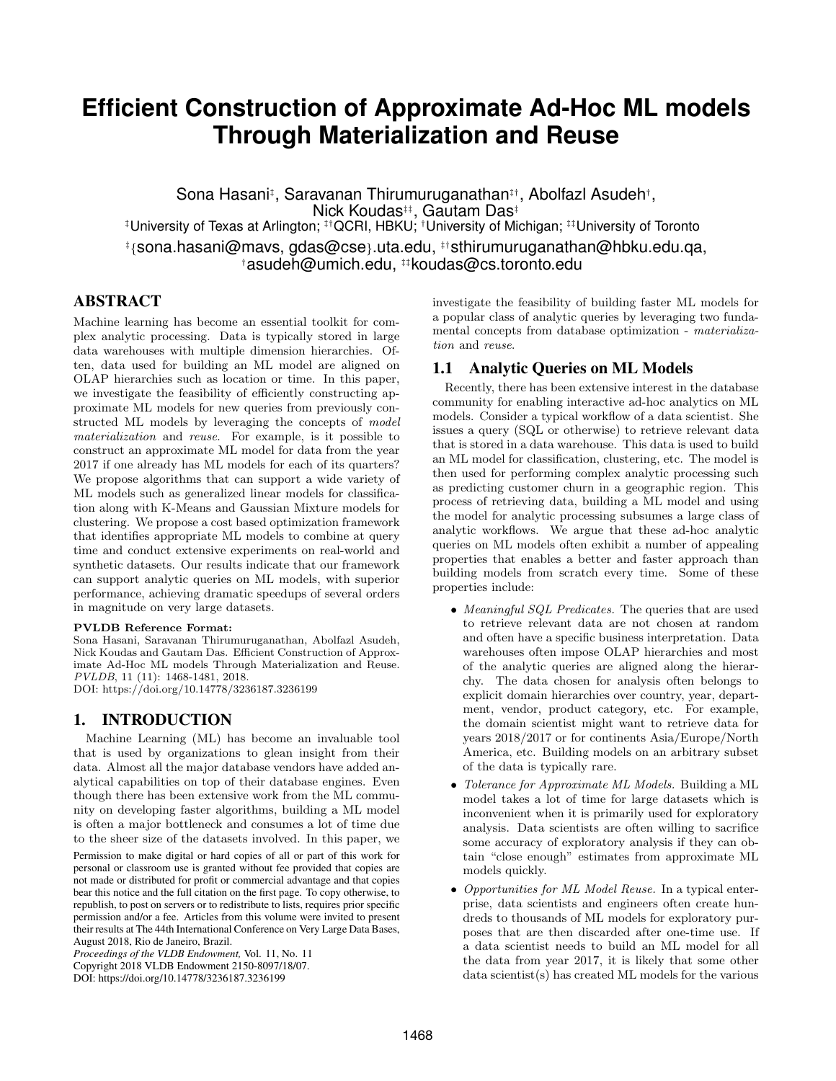# **Efficient Construction of Approximate Ad-Hoc ML models Through Materialization and Reuse**

Sona Hasani‡, Saravanan Thirumuruganathan‡†, Abolfazl Asudeh†, Nick Koudas<sup>‡‡</sup>, Gautam Das<sup>‡</sup> ‡University of Texas at Arlington; ‡†QCRI, HBKU; †University of Michigan; ‡‡University of Toronto ‡ {sona.hasani@mavs, gdas@cse}.uta.edu, ‡†sthirumuruganathan@hbku.edu.qa, †asudeh@umich.edu, ‡‡koudas@cs.toronto.edu

# ABSTRACT

Machine learning has become an essential toolkit for complex analytic processing. Data is typically stored in large data warehouses with multiple dimension hierarchies. Often, data used for building an ML model are aligned on OLAP hierarchies such as location or time. In this paper, we investigate the feasibility of efficiently constructing approximate ML models for new queries from previously constructed ML models by leveraging the concepts of model materialization and reuse. For example, is it possible to construct an approximate ML model for data from the year 2017 if one already has ML models for each of its quarters? We propose algorithms that can support a wide variety of ML models such as generalized linear models for classification along with K-Means and Gaussian Mixture models for clustering. We propose a cost based optimization framework that identifies appropriate ML models to combine at query time and conduct extensive experiments on real-world and synthetic datasets. Our results indicate that our framework can support analytic queries on ML models, with superior performance, achieving dramatic speedups of several orders in magnitude on very large datasets.

#### PVLDB Reference Format:

Sona Hasani, Saravanan Thirumuruganathan, Abolfazl Asudeh, Nick Koudas and Gautam Das. Efficient Construction of Approximate Ad-Hoc ML models Through Materialization and Reuse. PVLDB, 11 (11): 1468-1481, 2018. DOI: https://doi.org/10.14778/3236187.3236199

# 1. INTRODUCTION

Machine Learning (ML) has become an invaluable tool that is used by organizations to glean insight from their data. Almost all the major database vendors have added analytical capabilities on top of their database engines. Even though there has been extensive work from the ML community on developing faster algorithms, building a ML model is often a major bottleneck and consumes a lot of time due to the sheer size of the datasets involved. In this paper, we

Permission to make digital or hard copies of all or part of this work for personal or classroom use is granted without fee provided that copies are not made or distributed for profit or commercial advantage and that copies bear this notice and the full citation on the first page. To copy otherwise, to republish, to post on servers or to redistribute to lists, requires prior specific permission and/or a fee. Articles from this volume were invited to present their results at The 44th International Conference on Very Large Data Bases, August 2018, Rio de Janeiro, Brazil.

*Proceedings of the VLDB Endowment,* Vol. 11, No. 11 Copyright 2018 VLDB Endowment 2150-8097/18/07. DOI: https://doi.org/10.14778/3236187.3236199

investigate the feasibility of building faster ML models for a popular class of analytic queries by leveraging two fundamental concepts from database optimization - materialization and reuse.

# 1.1 Analytic Queries on ML Models

Recently, there has been extensive interest in the database community for enabling interactive ad-hoc analytics on ML models. Consider a typical workflow of a data scientist. She issues a query (SQL or otherwise) to retrieve relevant data that is stored in a data warehouse. This data is used to build an ML model for classification, clustering, etc. The model is then used for performing complex analytic processing such as predicting customer churn in a geographic region. This process of retrieving data, building a ML model and using the model for analytic processing subsumes a large class of analytic workflows. We argue that these ad-hoc analytic queries on ML models often exhibit a number of appealing properties that enables a better and faster approach than building models from scratch every time. Some of these properties include:

- Meaningful SQL Predicates. The queries that are used to retrieve relevant data are not chosen at random and often have a specific business interpretation. Data warehouses often impose OLAP hierarchies and most of the analytic queries are aligned along the hierarchy. The data chosen for analysis often belongs to explicit domain hierarchies over country, year, department, vendor, product category, etc. For example, the domain scientist might want to retrieve data for years 2018/2017 or for continents Asia/Europe/North America, etc. Building models on an arbitrary subset of the data is typically rare.
- Tolerance for Approximate ML Models. Building a ML model takes a lot of time for large datasets which is inconvenient when it is primarily used for exploratory analysis. Data scientists are often willing to sacrifice some accuracy of exploratory analysis if they can obtain "close enough" estimates from approximate ML models quickly.
- Opportunities for ML Model Reuse. In a typical enterprise, data scientists and engineers often create hundreds to thousands of ML models for exploratory purposes that are then discarded after one-time use. If a data scientist needs to build an ML model for all the data from year 2017, it is likely that some other data scientist(s) has created ML models for the various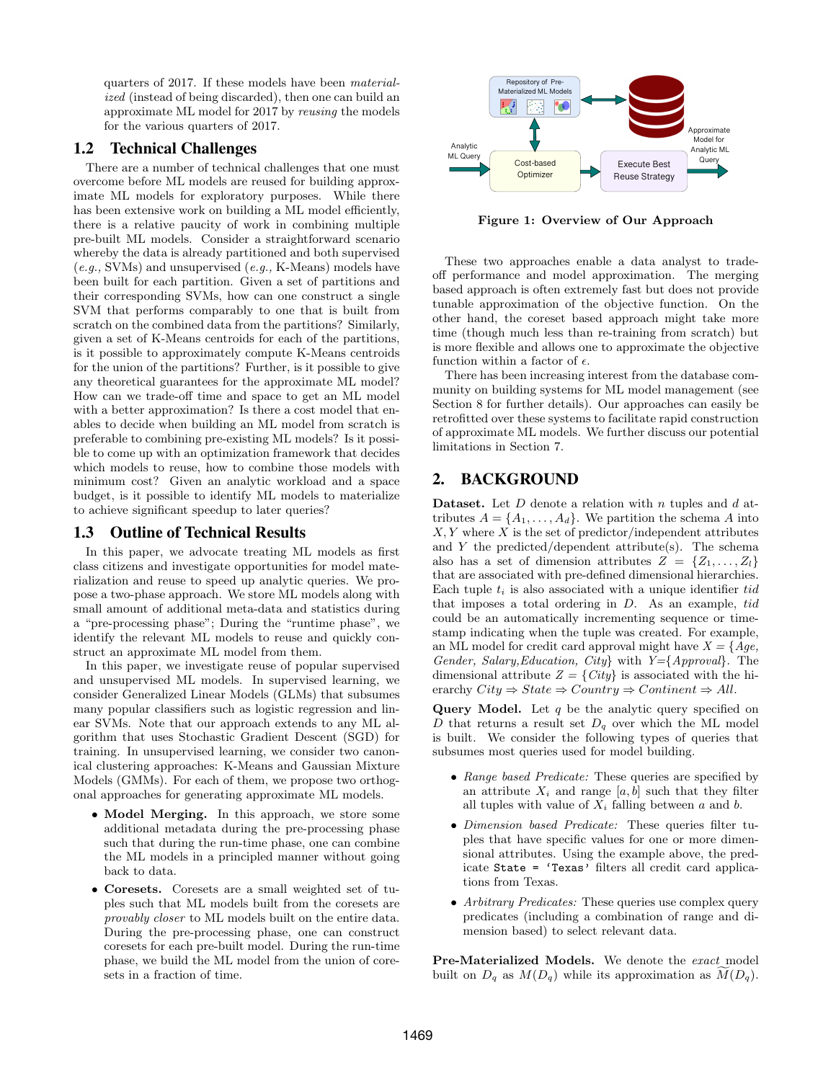quarters of 2017. If these models have been materialized (instead of being discarded), then one can build an approximate ML model for 2017 by reusing the models for the various quarters of 2017.

### 1.2 Technical Challenges

There are a number of technical challenges that one must overcome before ML models are reused for building approximate ML models for exploratory purposes. While there has been extensive work on building a ML model efficiently, there is a relative paucity of work in combining multiple pre-built ML models. Consider a straightforward scenario whereby the data is already partitioned and both supervised (e.g., SVMs) and unsupervised (e.g., K-Means) models have been built for each partition. Given a set of partitions and their corresponding SVMs, how can one construct a single SVM that performs comparably to one that is built from scratch on the combined data from the partitions? Similarly, given a set of K-Means centroids for each of the partitions, is it possible to approximately compute K-Means centroids for the union of the partitions? Further, is it possible to give any theoretical guarantees for the approximate ML model? How can we trade-off time and space to get an ML model with a better approximation? Is there a cost model that enables to decide when building an ML model from scratch is preferable to combining pre-existing ML models? Is it possible to come up with an optimization framework that decides which models to reuse, how to combine those models with minimum cost? Given an analytic workload and a space budget, is it possible to identify ML models to materialize to achieve significant speedup to later queries?

# 1.3 Outline of Technical Results

In this paper, we advocate treating ML models as first class citizens and investigate opportunities for model materialization and reuse to speed up analytic queries. We propose a two-phase approach. We store ML models along with small amount of additional meta-data and statistics during a "pre-processing phase"; During the "runtime phase", we identify the relevant ML models to reuse and quickly construct an approximate ML model from them.

In this paper, we investigate reuse of popular supervised and unsupervised ML models. In supervised learning, we consider Generalized Linear Models (GLMs) that subsumes many popular classifiers such as logistic regression and linear SVMs. Note that our approach extends to any ML algorithm that uses Stochastic Gradient Descent (SGD) for training. In unsupervised learning, we consider two canonical clustering approaches: K-Means and Gaussian Mixture Models (GMMs). For each of them, we propose two orthogonal approaches for generating approximate ML models.

- Model Merging. In this approach, we store some additional metadata during the pre-processing phase such that during the run-time phase, one can combine the ML models in a principled manner without going back to data.
- Coresets. Coresets are a small weighted set of tuples such that ML models built from the coresets are provably closer to ML models built on the entire data. During the pre-processing phase, one can construct coresets for each pre-built model. During the run-time phase, we build the ML model from the union of coresets in a fraction of time.



Figure 1: Overview of Our Approach

These two approaches enable a data analyst to tradeoff performance and model approximation. The merging based approach is often extremely fast but does not provide tunable approximation of the objective function. On the other hand, the coreset based approach might take more time (though much less than re-training from scratch) but is more flexible and allows one to approximate the objective function within a factor of  $\epsilon$ .

There has been increasing interest from the database community on building systems for ML model management (see Section 8 for further details). Our approaches can easily be retrofitted over these systems to facilitate rapid construction of approximate ML models. We further discuss our potential limitations in Section 7.

# 2. BACKGROUND

**Dataset.** Let  $D$  denote a relation with  $n$  tuples and  $d$  attributes  $A = \{A_1, \ldots, A_d\}$ . We partition the schema A into  $X, Y$  where  $X$  is the set of predictor/independent attributes and Y the predicted/dependent attribute(s). The schema also has a set of dimension attributes  $Z = \{Z_1, \ldots, Z_l\}$ that are associated with pre-defined dimensional hierarchies. Each tuple  $t_i$  is also associated with a unique identifier tid that imposes a total ordering in  $D$ . As an example,  $tid$ could be an automatically incrementing sequence or timestamp indicating when the tuple was created. For example, an ML model for credit card approval might have  $X = \{Age,$ Gender, Salary, Education, City with  $Y = \{Approxall\}$ . The dimensional attribute  $Z = \{City\}$  is associated with the hierarchy  $City \Rightarrow State \Rightarrow Country \Rightarrow Continent \Rightarrow All.$ 

**Query Model.** Let  $q$  be the analytic query specified on D that returns a result set  $D_q$  over which the ML model is built. We consider the following types of queries that subsumes most queries used for model building.

- Range based Predicate: These queries are specified by an attribute  $X_i$  and range [a, b] such that they filter all tuples with value of  $X_i$  falling between a and b.
- Dimension based Predicate: These queries filter tuples that have specific values for one or more dimensional attributes. Using the example above, the predicate State = 'Texas' filters all credit card applications from Texas.
- Arbitrary Predicates: These queries use complex query predicates (including a combination of range and dimension based) to select relevant data.

Pre-Materialized Models. We denote the exact model built on  $D_q$  as  $M(D_q)$  while its approximation as  $M(D_q)$ .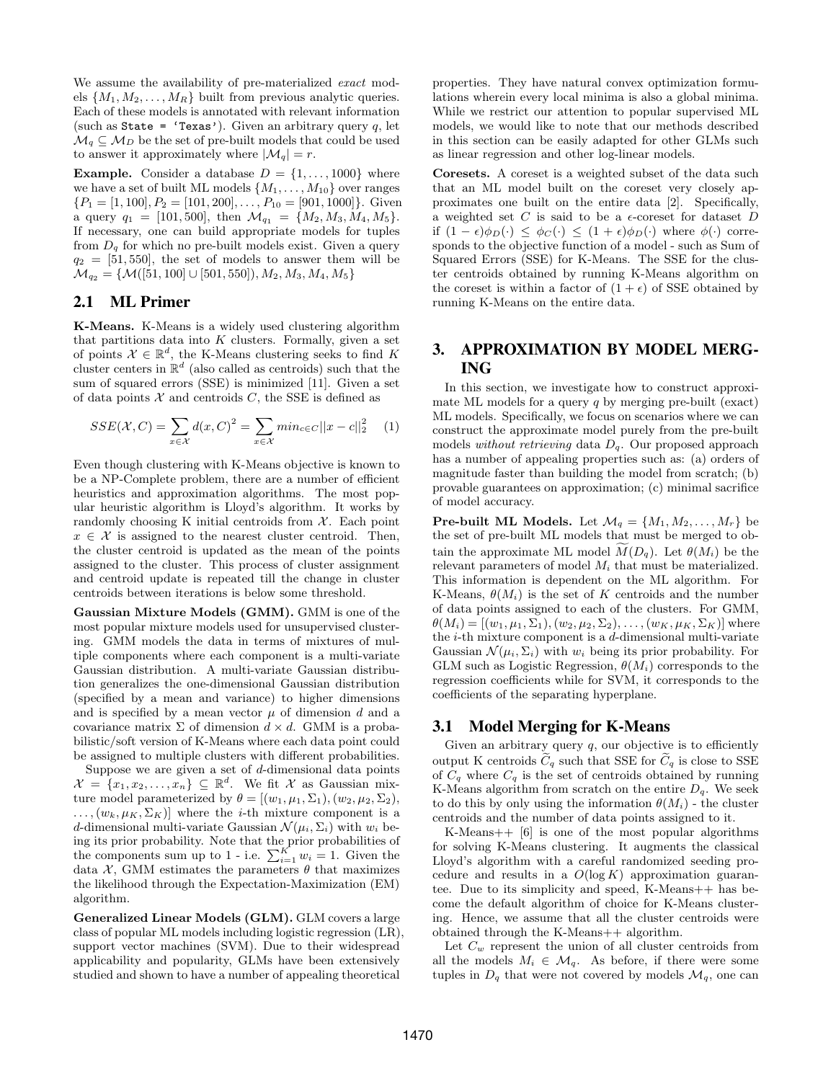We assume the availability of pre-materialized exact models  $\{M_1, M_2, \ldots, M_R\}$  built from previous analytic queries. Each of these models is annotated with relevant information (such as State = 'Texas'). Given an arbitrary query q, let  $\mathcal{M}_q \subseteq \mathcal{M}_D$  be the set of pre-built models that could be used to answer it approximately where  $|\mathcal{M}_q| = r$ .

**Example.** Consider a database  $D = \{1, \ldots, 1000\}$  where we have a set of built ML models  $\{M_1, \ldots, M_{10}\}$  over ranges  $\{P_1 = [1, 100], P_2 = [101, 200], \ldots, P_{10} = [901, 1000]\}.$  Given a query  $q_1 = [101, 500]$ , then  $\mathcal{M}_{q_1} = \{M_2, M_3, M_4, M_5\}$ . If necessary, one can build appropriate models for tuples from  $D_q$  for which no pre-built models exist. Given a query  $q_2 = [51, 550]$ , the set of models to answer them will be  $\mathcal{M}_{q_2} = \{ \mathcal{M}([51, 100] \cup [501, 550]), M_2, M_3, M_4, M_5 \}$ 

# 2.1 ML Primer

K-Means. K-Means is a widely used clustering algorithm that partitions data into  $K$  clusters. Formally, given a set of points  $\mathcal{X} \in \mathbb{R}^d$ , the K-Means clustering seeks to find K cluster centers in  $\mathbb{R}^d$  (also called as centroids) such that the sum of squared errors (SSE) is minimized [11]. Given a set of data points  $X$  and centroids  $C$ , the SSE is defined as

$$
SSE(\mathcal{X}, C) = \sum_{x \in \mathcal{X}} d(x, C)^{2} = \sum_{x \in \mathcal{X}} min_{c \in C} ||x - c||_{2}^{2} \quad (1)
$$

Even though clustering with K-Means objective is known to be a NP-Complete problem, there are a number of efficient heuristics and approximation algorithms. The most popular heuristic algorithm is Lloyd's algorithm. It works by randomly choosing K initial centroids from  $X$ . Each point  $x \in \mathcal{X}$  is assigned to the nearest cluster centroid. Then, the cluster centroid is updated as the mean of the points assigned to the cluster. This process of cluster assignment and centroid update is repeated till the change in cluster centroids between iterations is below some threshold.

Gaussian Mixture Models (GMM). GMM is one of the most popular mixture models used for unsupervised clustering. GMM models the data in terms of mixtures of multiple components where each component is a multi-variate Gaussian distribution. A multi-variate Gaussian distribution generalizes the one-dimensional Gaussian distribution (specified by a mean and variance) to higher dimensions and is specified by a mean vector  $\mu$  of dimension d and a covariance matrix  $\Sigma$  of dimension  $d \times d$ . GMM is a probabilistic/soft version of K-Means where each data point could be assigned to multiple clusters with different probabilities.

Suppose we are given a set of  $d$ -dimensional data points  $\mathcal{X} = \{x_1, x_2, \ldots, x_n\} \subseteq \mathbb{R}^d$ . We fit X as Gaussian mixture model parameterized by  $\theta = [(w_1, \mu_1, \Sigma_1), (w_2, \mu_2, \Sigma_2),$  $\ldots$ ,  $(w_k, \mu_K, \Sigma_K)$ ] where the *i*-th mixture component is a d-dimensional multi-variate Gaussian  $\mathcal{N}(\mu_i, \Sigma_i)$  with  $w_i$  being its prior probability. Note that the prior probabilities of the components sum up to 1 - i.e.  $\sum_{i=1}^{K} w_i = 1$ . Given the data  $\mathcal{X},$  GMM estimates the parameters  $\theta$  that maximizes the likelihood through the Expectation-Maximization (EM) algorithm.

Generalized Linear Models (GLM). GLM covers a large class of popular ML models including logistic regression (LR), support vector machines (SVM). Due to their widespread applicability and popularity, GLMs have been extensively studied and shown to have a number of appealing theoretical

properties. They have natural convex optimization formulations wherein every local minima is also a global minima. While we restrict our attention to popular supervised ML models, we would like to note that our methods described in this section can be easily adapted for other GLMs such as linear regression and other log-linear models.

Coresets. A coreset is a weighted subset of the data such that an ML model built on the coreset very closely approximates one built on the entire data [2]. Specifically, a weighted set  $C$  is said to be a  $\epsilon$ -coreset for dataset  $D$ if  $(1 - \epsilon)\phi_D(\cdot) \leq \phi_C(\cdot) \leq (1 + \epsilon)\phi_D(\cdot)$  where  $\phi(\cdot)$  corresponds to the objective function of a model - such as Sum of Squared Errors (SSE) for K-Means. The SSE for the cluster centroids obtained by running K-Means algorithm on the coreset is within a factor of  $(1 + \epsilon)$  of SSE obtained by running K-Means on the entire data.

# 3. APPROXIMATION BY MODEL MERG-ING

In this section, we investigate how to construct approximate ML models for a query  $q$  by merging pre-built (exact) ML models. Specifically, we focus on scenarios where we can construct the approximate model purely from the pre-built models without retrieving data  $D_q$ . Our proposed approach has a number of appealing properties such as: (a) orders of magnitude faster than building the model from scratch; (b) provable guarantees on approximation; (c) minimal sacrifice of model accuracy.

**Pre-built ML Models.** Let  $\mathcal{M}_q = \{M_1, M_2, \ldots, M_r\}$  be the set of pre-built ML models that must be merged to obtain the approximate ML model  $\tilde{M}(D_q)$ . Let  $\theta(M_i)$  be the relevant parameters of model  $M_i$  that must be materialized. This information is dependent on the ML algorithm. For K-Means,  $\theta(M_i)$  is the set of K centroids and the number of data points assigned to each of the clusters. For GMM,  $\theta(M_i) = [(w_1, \mu_1, \Sigma_1), (w_2, \mu_2, \Sigma_2), \ldots, (w_K, \mu_K, \Sigma_K)]$  where the i-th mixture component is a d-dimensional multi-variate Gaussian  $\mathcal{N}(\mu_i, \Sigma_i)$  with  $w_i$  being its prior probability. For GLM such as Logistic Regression,  $\theta(M_i)$  corresponds to the regression coefficients while for SVM, it corresponds to the coefficients of the separating hyperplane.

#### 3.1 Model Merging for K-Means

Given an arbitrary query  $q$ , our objective is to efficiently output K centroids  $\tilde{C}_q$  such that SSE for  $\tilde{C}_q$  is close to SSE of  $C_q$  where  $C_q$  is the set of centroids obtained by running K-Means algorithm from scratch on the entire  $D_q$ . We seek to do this by only using the information  $\theta(M_i)$  - the cluster centroids and the number of data points assigned to it.

K-Means++ [6] is one of the most popular algorithms for solving K-Means clustering. It augments the classical Lloyd's algorithm with a careful randomized seeding procedure and results in a  $O(\log K)$  approximation guarantee. Due to its simplicity and speed, K-Means++ has become the default algorithm of choice for K-Means clustering. Hence, we assume that all the cluster centroids were obtained through the K-Means++ algorithm.

Let  $C_w$  represent the union of all cluster centroids from all the models  $M_i \in \mathcal{M}_q$ . As before, if there were some tuples in  $D_q$  that were not covered by models  $\mathcal{M}_q$ , one can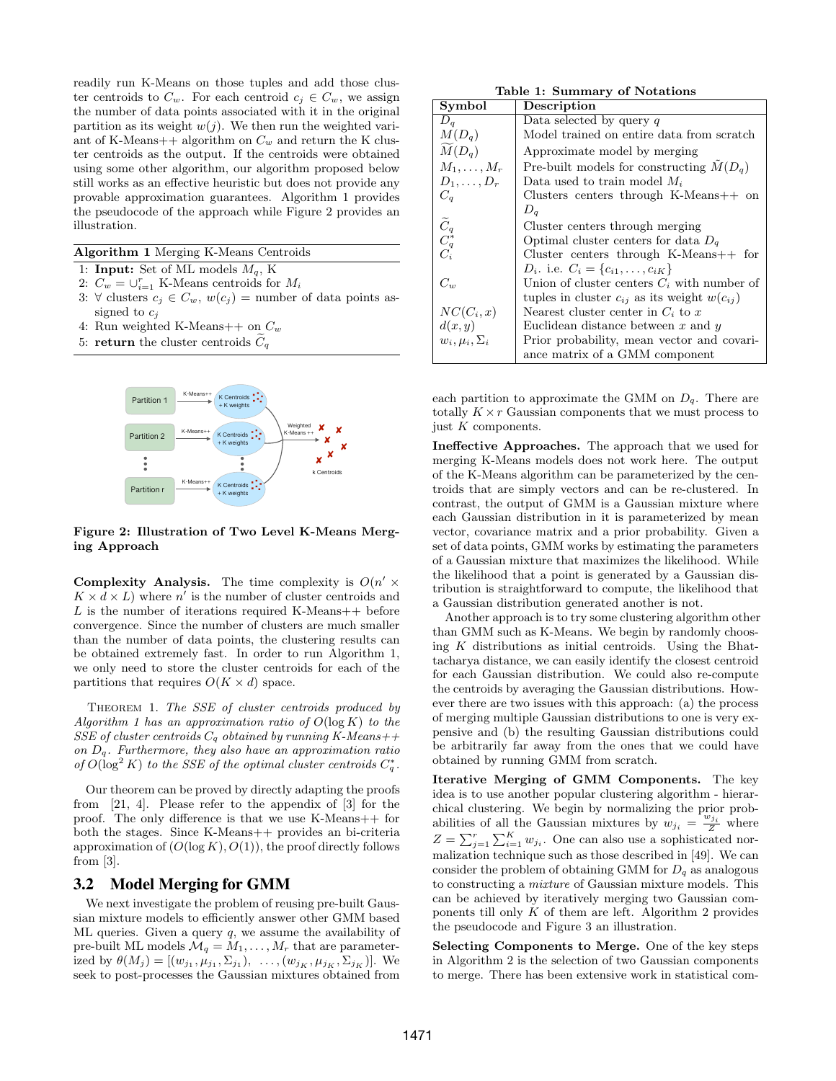readily run K-Means on those tuples and add those cluster centroids to  $C_w$ . For each centroid  $c_j \in C_w$ , we assign the number of data points associated with it in the original partition as its weight  $w(j)$ . We then run the weighted variant of K-Means++ algorithm on  $C_w$  and return the K cluster centroids as the output. If the centroids were obtained using some other algorithm, our algorithm proposed below still works as an effective heuristic but does not provide any provable approximation guarantees. Algorithm 1 provides the pseudocode of the approach while Figure 2 provides an illustration.

#### Algorithm 1 Merging K-Means Centroids

- 1: **Input:** Set of ML models  $M_q$ , K
- 2:  $C_w = \bigcup_{i=1}^r K$ -Means centroids for  $M_i$
- 3: ∀ clusters  $c_j \in C_w$ ,  $w(c_j) =$  number of data points assigned to  $c_i$
- 4: Run weighted K-Means + on  $C_w$
- 5: return the cluster centroids  $C_q$



Figure 2: Illustration of Two Level K-Means Merging Approach

Complexity Analysis. The time complexity is  $O(n' \times$  $K \times d \times L$ ) where n' is the number of cluster centroids and L is the number of iterations required K-Means  $++$  before convergence. Since the number of clusters are much smaller than the number of data points, the clustering results can be obtained extremely fast. In order to run Algorithm 1, we only need to store the cluster centroids for each of the partitions that requires  $O(K \times d)$  space.

Theorem 1. The SSE of cluster centroids produced by Algorithm 1 has an approximation ratio of  $O(\log K)$  to the SSE of cluster centroids  $C_q$  obtained by running K-Means++ on  $D_q$ . Furthermore, they also have an approximation ratio of  $O(\log^2 K)$  to the SSE of the optimal cluster centroids  $C_q^*$ .

Our theorem can be proved by directly adapting the proofs from [21, 4]. Please refer to the appendix of [3] for the proof. The only difference is that we use K-Means++ for both the stages. Since K-Means++ provides an bi-criteria approximation of  $(O(\log K), O(1))$ , the proof directly follows from  $[3]$ .

#### 3.2 Model Merging for GMM

We next investigate the problem of reusing pre-built Gaussian mixture models to efficiently answer other GMM based ML queries. Given a query  $q$ , we assume the availability of pre-built ML models  $\mathcal{M}_q = M_1, \ldots, M_r$  that are parameterized by  $\theta(M_j) = [(w_{j_1}, \mu_{j_1}, \Sigma_{j_1}), \ldots, (w_{j_K}, \mu_{j_K}, \Sigma_{j_K})]$ . We seek to post-processes the Gaussian mixtures obtained from

Table 1: Summary of Notations

| Symbol                                                    | Description                                          |
|-----------------------------------------------------------|------------------------------------------------------|
| $D_a$                                                     | Data selected by query $q$                           |
| $M(D_q)$                                                  | Model trained on entire data from scratch            |
| $M(D_q)$                                                  | Approximate model by merging                         |
| $M_1,\ldots,M_r$                                          | Pre-built models for constructing $M(D_a)$           |
| $D_1,\ldots,D_r$                                          | Data used to train model $M_i$                       |
| $C_a$                                                     | Clusters centers through K-Means $++$ on             |
|                                                           | $D_q$                                                |
| $\begin{matrix}\widetilde{C}_q\\ C_q^*\\ C_i\end{matrix}$ | Cluster centers through merging                      |
|                                                           | Optimal cluster centers for data $D_q$               |
|                                                           | Cluster centers through $K-Means++$ for              |
|                                                           | $D_i$ . i.e. $C_i = \{c_{i1}, \ldots, c_{iK}\}\$     |
| $C_w$                                                     | Union of cluster centers $C_i$ with number of        |
|                                                           | tuples in cluster $c_{ij}$ as its weight $w(c_{ij})$ |
| $NC(C_i,x)$                                               | Nearest cluster center in $C_i$ to x                 |
| d(x,y)                                                    | Euclidean distance between $x$ and $y$               |
| $w_i, \mu_i, \Sigma_i$                                    | Prior probability, mean vector and covari-           |
|                                                           | ance matrix of a GMM component                       |

each partition to approximate the GMM on  $D_q$ . There are totally  $K \times r$  Gaussian components that we must process to just  $K$  components.

Ineffective Approaches. The approach that we used for merging K-Means models does not work here. The output of the K-Means algorithm can be parameterized by the centroids that are simply vectors and can be re-clustered. In contrast, the output of GMM is a Gaussian mixture where each Gaussian distribution in it is parameterized by mean vector, covariance matrix and a prior probability. Given a set of data points, GMM works by estimating the parameters of a Gaussian mixture that maximizes the likelihood. While the likelihood that a point is generated by a Gaussian distribution is straightforward to compute, the likelihood that a Gaussian distribution generated another is not.

Another approach is to try some clustering algorithm other than GMM such as K-Means. We begin by randomly choosing  $K$  distributions as initial centroids. Using the Bhattacharya distance, we can easily identify the closest centroid for each Gaussian distribution. We could also re-compute the centroids by averaging the Gaussian distributions. However there are two issues with this approach: (a) the process of merging multiple Gaussian distributions to one is very expensive and (b) the resulting Gaussian distributions could be arbitrarily far away from the ones that we could have obtained by running GMM from scratch.

Iterative Merging of GMM Components. The key idea is to use another popular clustering algorithm - hierarchical clustering. We begin by normalizing the prior probabilities of all the Gaussian mixtures by  $w_{j_i} = \frac{w_{j_i}}{Z}$  where  $Z = \sum_{j=1}^{r} \sum_{i=1}^{K} w_{ji}$ . One can also use a sophisticated normalization technique such as those described in [49]. We can consider the problem of obtaining GMM for  $D_q$  as analogous to constructing a mixture of Gaussian mixture models. This can be achieved by iteratively merging two Gaussian components till only  $K$  of them are left. Algorithm 2 provides the pseudocode and Figure 3 an illustration.

Selecting Components to Merge. One of the key steps in Algorithm 2 is the selection of two Gaussian components to merge. There has been extensive work in statistical com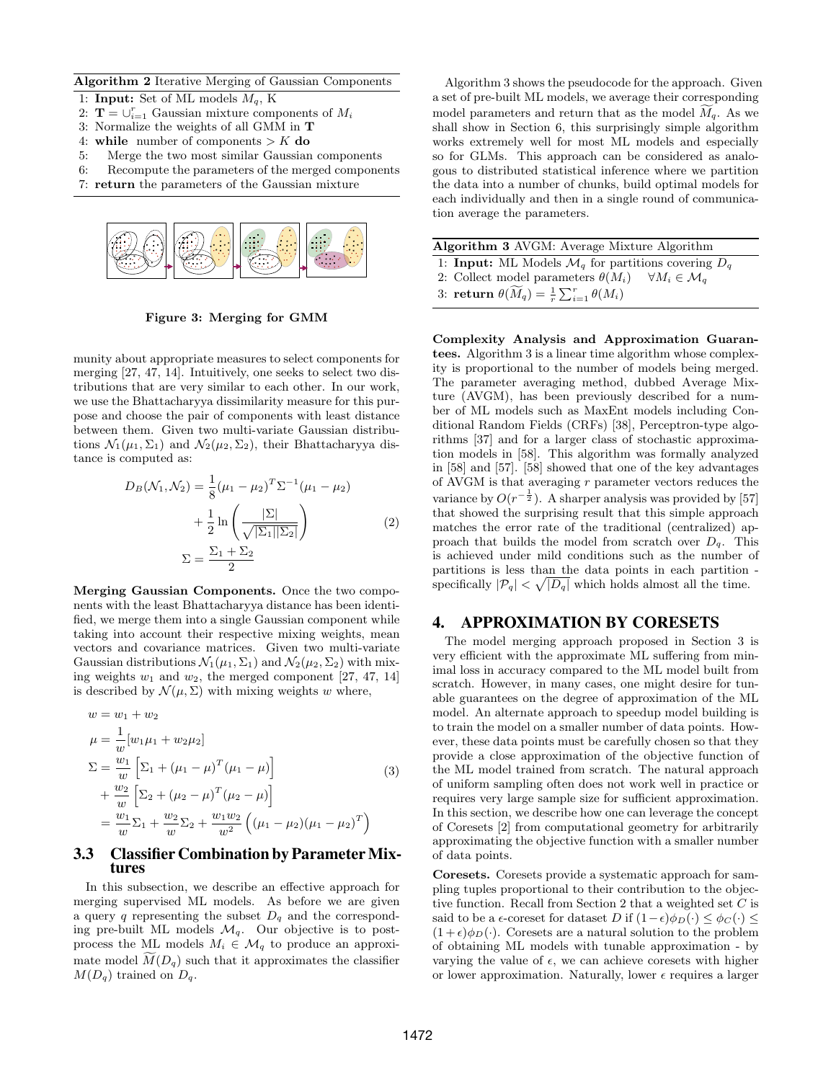Algorithm 2 Iterative Merging of Gaussian Components

- 1: Input: Set of ML models  $M_q$ , K
- 2:  $\mathbf{T} = \bigcup_{i=1}^r$  Gaussian mixture components of  $M_i$
- 3: Normalize the weights of all GMM in T
- 4: while number of components  $> K$  do
- 5: Merge the two most similar Gaussian components
- 6: Recompute the parameters of the merged components
- 7: return the parameters of the Gaussian mixture



Figure 3: Merging for GMM

munity about appropriate measures to select components for merging [27, 47, 14]. Intuitively, one seeks to select two distributions that are very similar to each other. In our work, we use the Bhattacharyya dissimilarity measure for this purpose and choose the pair of components with least distance between them. Given two multi-variate Gaussian distributions  $\mathcal{N}_1(\mu_1, \Sigma_1)$  and  $\mathcal{N}_2(\mu_2, \Sigma_2)$ , their Bhattacharyya distance is computed as:

$$
D_B(\mathcal{N}_1, \mathcal{N}_2) = \frac{1}{8} (\mu_1 - \mu_2)^T \Sigma^{-1} (\mu_1 - \mu_2)
$$
  
+  $\frac{1}{2} \ln \left( \frac{|\Sigma|}{\sqrt{|\Sigma_1||\Sigma_2|}} \right)$  (2)  

$$
\Sigma = \frac{\Sigma_1 + \Sigma_2}{2}
$$

Merging Gaussian Components. Once the two components with the least Bhattacharyya distance has been identified, we merge them into a single Gaussian component while taking into account their respective mixing weights, mean vectors and covariance matrices. Given two multi-variate Gaussian distributions  $\mathcal{N}_1(\mu_1, \Sigma_1)$  and  $\mathcal{N}_2(\mu_2, \Sigma_2)$  with mixing weights  $w_1$  and  $w_2$ , the merged component [27, 47, 14] is described by  $\mathcal{N}(\mu, \Sigma)$  with mixing weights w where,

$$
w = w_1 + w_2
$$
  
\n
$$
\mu = \frac{1}{w} [w_1 \mu_1 + w_2 \mu_2]
$$
  
\n
$$
\Sigma = \frac{w_1}{w} \left[ \Sigma_1 + (\mu_1 - \mu)^T (\mu_1 - \mu) \right]
$$
  
\n
$$
+ \frac{w_2}{w} \left[ \Sigma_2 + (\mu_2 - \mu)^T (\mu_2 - \mu) \right]
$$
  
\n
$$
= \frac{w_1}{w} \Sigma_1 + \frac{w_2}{w} \Sigma_2 + \frac{w_1 w_2}{w^2} \left( (\mu_1 - \mu_2) (\mu_1 - \mu_2)^T \right)
$$
\n(3)

#### 3.3 Classifier Combination by Parameter Mixtures

In this subsection, we describe an effective approach for merging supervised ML models. As before we are given a query  $q$  representing the subset  $D_q$  and the corresponding pre-built ML models  $\mathcal{M}_q$ . Our objective is to postprocess the ML models  $M_i \in \mathcal{M}_q$  to produce an approximate model  $\widetilde{M}(D_q)$  such that it approximates the classifier  $M(D_q)$  trained on  $D_q$ .

Algorithm 3 shows the pseudocode for the approach. Given a set of pre-built ML models, we average their corresponding model parameters and return that as the model  $M_q$ . As we shall show in Section 6, this surprisingly simple algorithm works extremely well for most ML models and especially so for GLMs. This approach can be considered as analogous to distributed statistical inference where we partition the data into a number of chunks, build optimal models for each individually and then in a single round of communication average the parameters.

| <b>Algorithm 3 AVGM: Average Mixture Algorithm</b>                         |  |  |  |  |  |
|----------------------------------------------------------------------------|--|--|--|--|--|
| 1: <b>Input:</b> ML Models $\mathcal{M}_q$ for partitions covering $D_q$   |  |  |  |  |  |
| 2: Collect model parameters $\theta(M_i)$ $\forall M_i \in \mathcal{M}_a$  |  |  |  |  |  |
| 3: return $\theta(\widetilde{M}_q) = \frac{1}{r} \sum_{i=1}^r \theta(M_i)$ |  |  |  |  |  |

Complexity Analysis and Approximation Guarantees. Algorithm 3 is a linear time algorithm whose complexity is proportional to the number of models being merged. The parameter averaging method, dubbed Average Mixture (AVGM), has been previously described for a number of ML models such as MaxEnt models including Conditional Random Fields (CRFs) [38], Perceptron-type algorithms [37] and for a larger class of stochastic approximation models in [58]. This algorithm was formally analyzed in [58] and [57]. [58] showed that one of the key advantages of AVGM is that averaging r parameter vectors reduces the variance by  $O(r^{-\frac{1}{2}})$ . A sharper analysis was provided by [57] that showed the surprising result that this simple approach matches the error rate of the traditional (centralized) approach that builds the model from scratch over  $D_q$ . This is achieved under mild conditions such as the number of partitions is less than the data points in each partition specifically  $|\mathcal{P}_q| < \sqrt{|D_q|}$  which holds almost all the time.

#### 4. APPROXIMATION BY CORESETS

The model merging approach proposed in Section 3 is very efficient with the approximate ML suffering from minimal loss in accuracy compared to the ML model built from scratch. However, in many cases, one might desire for tunable guarantees on the degree of approximation of the ML model. An alternate approach to speedup model building is to train the model on a smaller number of data points. However, these data points must be carefully chosen so that they provide a close approximation of the objective function of the ML model trained from scratch. The natural approach of uniform sampling often does not work well in practice or requires very large sample size for sufficient approximation. In this section, we describe how one can leverage the concept of Coresets [2] from computational geometry for arbitrarily approximating the objective function with a smaller number of data points.

Coresets. Coresets provide a systematic approach for sampling tuples proportional to their contribution to the objective function. Recall from Section 2 that a weighted set C is said to be a  $\epsilon$ -coreset for dataset D if  $(1-\epsilon)\phi_D(\cdot) \leq \phi_C(\cdot) \leq$  $(1 + \epsilon)\phi_D(\cdot)$ . Coresets are a natural solution to the problem of obtaining ML models with tunable approximation - by varying the value of  $\epsilon$ , we can achieve coresets with higher or lower approximation. Naturally, lower  $\epsilon$  requires a larger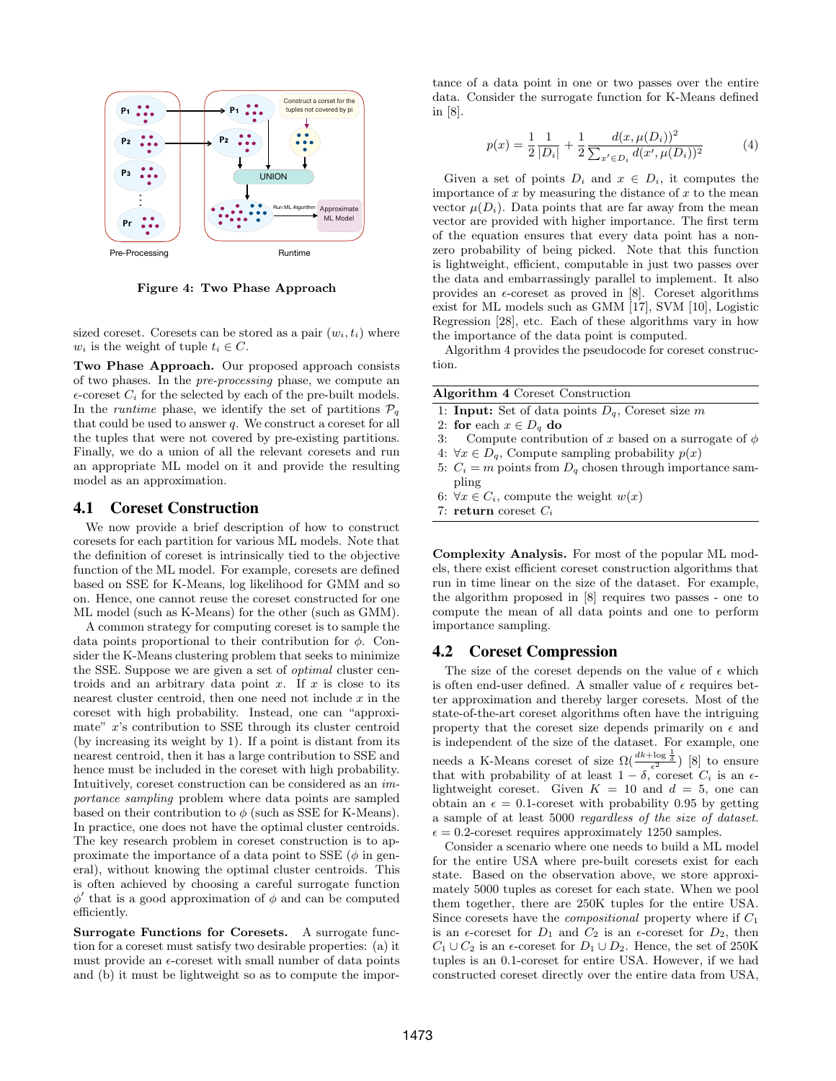

Figure 4: Two Phase Approach

sized coreset. Coresets can be stored as a pair  $(w_i, t_i)$  where  $w_i$  is the weight of tuple  $t_i \in C$ .

Two Phase Approach. Our proposed approach consists of two phases. In the pre-processing phase, we compute an  $\epsilon$ -coreset  $C_i$  for the selected by each of the pre-built models. In the *runtime* phase, we identify the set of partitions  $P_q$ that could be used to answer  $q$ . We construct a coreset for all the tuples that were not covered by pre-existing partitions. Finally, we do a union of all the relevant coresets and run an appropriate ML model on it and provide the resulting model as an approximation.

#### 4.1 Coreset Construction

We now provide a brief description of how to construct coresets for each partition for various ML models. Note that the definition of coreset is intrinsically tied to the objective function of the ML model. For example, coresets are defined based on SSE for K-Means, log likelihood for GMM and so on. Hence, one cannot reuse the coreset constructed for one ML model (such as K-Means) for the other (such as GMM).

A common strategy for computing coreset is to sample the data points proportional to their contribution for  $\phi$ . Consider the K-Means clustering problem that seeks to minimize the SSE. Suppose we are given a set of optimal cluster centroids and an arbitrary data point  $x$ . If  $x$  is close to its nearest cluster centroid, then one need not include  $x$  in the coreset with high probability. Instead, one can "approximate" x's contribution to SSE through its cluster centroid (by increasing its weight by 1). If a point is distant from its nearest centroid, then it has a large contribution to SSE and hence must be included in the coreset with high probability. Intuitively, coreset construction can be considered as an importance sampling problem where data points are sampled based on their contribution to  $\phi$  (such as SSE for K-Means). In practice, one does not have the optimal cluster centroids. The key research problem in coreset construction is to approximate the importance of a data point to SSE  $(\phi)$  in general), without knowing the optimal cluster centroids. This is often achieved by choosing a careful surrogate function  $\phi'$  that is a good approximation of  $\phi$  and can be computed efficiently.

Surrogate Functions for Coresets. A surrogate function for a coreset must satisfy two desirable properties: (a) it must provide an  $\epsilon$ -coreset with small number of data points and (b) it must be lightweight so as to compute the importance of a data point in one or two passes over the entire data. Consider the surrogate function for K-Means defined in [8].

$$
p(x) = \frac{1}{2} \frac{1}{|D_i|} + \frac{1}{2} \frac{d(x, \mu(D_i))^2}{\sum_{x' \in D_i} d(x', \mu(D_i))^2}
$$
(4)

Given a set of points  $D_i$  and  $x \in D_i$ , it computes the importance of  $x$  by measuring the distance of  $x$  to the mean vector  $\mu(D_i)$ . Data points that are far away from the mean vector are provided with higher importance. The first term of the equation ensures that every data point has a nonzero probability of being picked. Note that this function is lightweight, efficient, computable in just two passes over the data and embarrassingly parallel to implement. It also provides an  $\epsilon$ -coreset as proved in [8]. Coreset algorithms exist for ML models such as GMM [17], SVM [10], Logistic Regression [28], etc. Each of these algorithms vary in how the importance of the data point is computed.

Algorithm 4 provides the pseudocode for coreset construction.

|  |                            | <b>Algorithm 4 Coreset Construction</b>             |  |  |  |
|--|----------------------------|-----------------------------------------------------|--|--|--|
|  |                            | 1: Input: Set of data points $D_q$ , Coreset size m |  |  |  |
|  | 2: for each $x \in D_q$ do |                                                     |  |  |  |
|  |                            |                                                     |  |  |  |

- 3: Compute contribution of x based on a surrogate of  $\phi$
- 4:  $\forall x \in D_q$ , Compute sampling probability  $p(x)$
- 5:  $C_i = m$  points from  $D_q$  chosen through importance sampling
- 6:  $\forall x \in C_i$ , compute the weight  $w(x)$
- 7: return coreset  $C_i$

Complexity Analysis. For most of the popular ML models, there exist efficient coreset construction algorithms that run in time linear on the size of the dataset. For example, the algorithm proposed in [8] requires two passes - one to compute the mean of all data points and one to perform importance sampling.

#### 4.2 Coreset Compression

The size of the coreset depends on the value of  $\epsilon$  which is often end-user defined. A smaller value of  $\epsilon$  requires better approximation and thereby larger coresets. Most of the state-of-the-art coreset algorithms often have the intriguing property that the coreset size depends primarily on  $\epsilon$  and is independent of the size of the dataset. For example, one needs a K-Means coreset of size  $\Omega(\frac{dk + \log \frac{1}{\delta}}{\epsilon^2})$  [8] to ensure that with probability of at least  $1 - \delta$ , coreset  $C_i$  is an  $\epsilon$ lightweight coreset. Given  $K = 10$  and  $d = 5$ , one can obtain an  $\epsilon = 0.1$ -coreset with probability 0.95 by getting a sample of at least 5000 regardless of the size of dataset.  $\epsilon = 0.2$ -coreset requires approximately 1250 samples.

Consider a scenario where one needs to build a ML model for the entire USA where pre-built coresets exist for each state. Based on the observation above, we store approximately 5000 tuples as coreset for each state. When we pool them together, there are 250K tuples for the entire USA. Since coresets have the *compositional* property where if  $C_1$ is an  $\epsilon$ -coreset for  $D_1$  and  $C_2$  is an  $\epsilon$ -coreset for  $D_2$ , then  $C_1 \cup C_2$  is an  $\epsilon$ -coreset for  $D_1 \cup D_2$ . Hence, the set of 250K tuples is an 0.1-coreset for entire USA. However, if we had constructed coreset directly over the entire data from USA,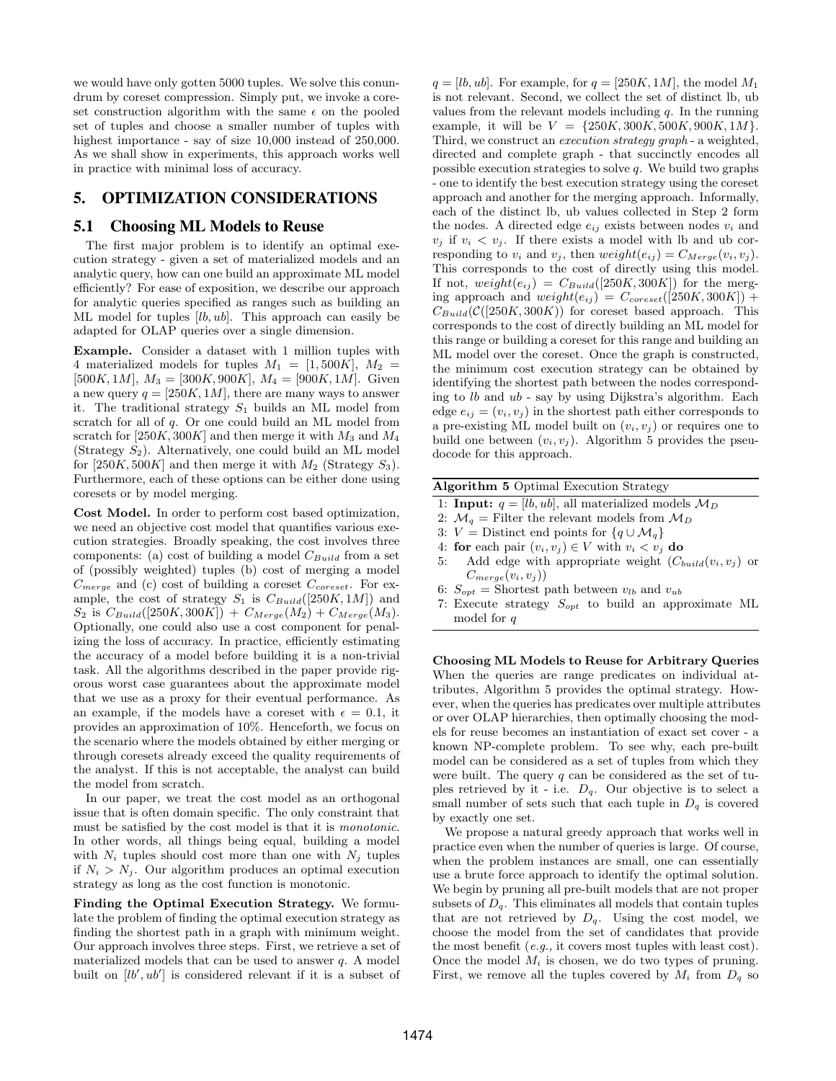we would have only gotten 5000 tuples. We solve this conundrum by coreset compression. Simply put, we invoke a coreset construction algorithm with the same  $\epsilon$  on the pooled set of tuples and choose a smaller number of tuples with highest importance - say of size 10,000 instead of 250,000. As we shall show in experiments, this approach works well in practice with minimal loss of accuracy.

# 5. OPTIMIZATION CONSIDERATIONS

#### 5.1 Choosing ML Models to Reuse

The first major problem is to identify an optimal execution strategy - given a set of materialized models and an analytic query, how can one build an approximate ML model efficiently? For ease of exposition, we describe our approach for analytic queries specified as ranges such as building an ML model for tuples  $[lb, ub]$ . This approach can easily be adapted for OLAP queries over a single dimension.

Example. Consider a dataset with 1 million tuples with 4 materialized models for tuples  $M_1 = [1, 500K], M_2 =$ [500K, 1M],  $M_3 = [300K, 900K]$ ,  $M_4 = [900K, 1M]$ . Given a new query  $q = [250K, 1M]$ , there are many ways to answer it. The traditional strategy  $S_1$  builds an ML model from scratch for all of q. Or one could build an ML model from scratch for [250K, 300K] and then merge it with  $M_3$  and  $M_4$ (Strategy  $S_2$ ). Alternatively, one could build an ML model for [250K, 500K] and then merge it with  $M_2$  (Strategy  $S_3$ ). Furthermore, each of these options can be either done using coresets or by model merging.

Cost Model. In order to perform cost based optimization, we need an objective cost model that quantifies various execution strategies. Broadly speaking, the cost involves three components: (a) cost of building a model  $C_{Build}$  from a set of (possibly weighted) tuples (b) cost of merging a model  $C_{merge}$  and (c) cost of building a coreset  $C_{coreset}$ . For example, the cost of strategy  $S_1$  is  $C_{Build}([250K, 1M])$  and  $S_2$  is  $C_{Build}([250K, 300K]) + C_{Merge}(M_2) + C_{Merge}(M_3).$ Optionally, one could also use a cost component for penalizing the loss of accuracy. In practice, efficiently estimating the accuracy of a model before building it is a non-trivial task. All the algorithms described in the paper provide rigorous worst case guarantees about the approximate model that we use as a proxy for their eventual performance. As an example, if the models have a coreset with  $\epsilon = 0.1$ , it provides an approximation of 10%. Henceforth, we focus on the scenario where the models obtained by either merging or through coresets already exceed the quality requirements of the analyst. If this is not acceptable, the analyst can build the model from scratch.

In our paper, we treat the cost model as an orthogonal issue that is often domain specific. The only constraint that must be satisfied by the cost model is that it is monotonic. In other words, all things being equal, building a model with  $N_i$  tuples should cost more than one with  $N_j$  tuples if  $N_i > N_j$ . Our algorithm produces an optimal execution strategy as long as the cost function is monotonic.

Finding the Optimal Execution Strategy. We formulate the problem of finding the optimal execution strategy as finding the shortest path in a graph with minimum weight. Our approach involves three steps. First, we retrieve a set of materialized models that can be used to answer  $q$ . A model built on  $[lb', ub']$  is considered relevant if it is a subset of

 $q = [lb, ub]$ . For example, for  $q = [250K, 1M]$ , the model  $M_1$ is not relevant. Second, we collect the set of distinct lb, ub values from the relevant models including  $q$ . In the running example, it will be  $V = \{250K, 300K, 500K, 900K, 1M\}.$ Third, we construct an execution strategy graph - a weighted, directed and complete graph - that succinctly encodes all possible execution strategies to solve  $q$ . We build two graphs - one to identify the best execution strategy using the coreset approach and another for the merging approach. Informally, each of the distinct lb, ub values collected in Step 2 form the nodes. A directed edge  $e_{ij}$  exists between nodes  $v_i$  and  $v_j$  if  $v_i < v_j$ . If there exists a model with lb and ub corresponding to  $v_i$  and  $v_j$ , then  $weight(e_{ij}) = C_{Merge}(v_i, v_j)$ . This corresponds to the cost of directly using this model. If not,  $weight(e_{ij}) = C_{Build}([250K, 300K])$  for the merging approach and  $weight(e_{ij}) = C_{coreset}([250K, 300K]) +$  $C_{Build}(\mathcal{C}([250K, 300K))$  for coreset based approach. This corresponds to the cost of directly building an ML model for this range or building a coreset for this range and building an ML model over the coreset. Once the graph is constructed, the minimum cost execution strategy can be obtained by identifying the shortest path between the nodes corresponding to lb and ub - say by using Dijkstra's algorithm. Each edge  $e_{ij} = (v_i, v_j)$  in the shortest path either corresponds to a pre-existing ML model built on  $(v_i, v_j)$  or requires one to build one between  $(v_i, v_j)$ . Algorithm 5 provides the pseudocode for this approach.

|  | Algorithm 5 Optimal Execution Strategy |
|--|----------------------------------------|
|--|----------------------------------------|

- 1: **Input:**  $q = [lb, ub]$ , all materialized models  $M_D$
- 2:  $\mathcal{M}_q$  = Filter the relevant models from  $\mathcal{M}_D$
- 3:  $V =$  Distinct end points for  $\{q \cup M_q\}$
- 4: for each pair  $(v_i, v_j) \in V$  with  $v_i < v_j$  do
- 5: Add edge with appropriate weight  $(C_{build}(v_i, v_i)$  or  $C_{merge}(v_i, v_j)$
- 6:  $S_{opt}$  = Shortest path between  $v_{lb}$  and  $v_{ub}$
- 7: Execute strategy  $S_{opt}$  to build an approximate ML model for q

Choosing ML Models to Reuse for Arbitrary Queries When the queries are range predicates on individual attributes, Algorithm 5 provides the optimal strategy. However, when the queries has predicates over multiple attributes or over OLAP hierarchies, then optimally choosing the models for reuse becomes an instantiation of exact set cover - a known NP-complete problem. To see why, each pre-built model can be considered as a set of tuples from which they were built. The query  $q$  can be considered as the set of tuples retrieved by it - i.e.  $D_q$ . Our objective is to select a small number of sets such that each tuple in  $D_q$  is covered by exactly one set.

We propose a natural greedy approach that works well in practice even when the number of queries is large. Of course, when the problem instances are small, one can essentially use a brute force approach to identify the optimal solution. We begin by pruning all pre-built models that are not proper subsets of  $D_q$ . This eliminates all models that contain tuples that are not retrieved by  $D_q$ . Using the cost model, we choose the model from the set of candidates that provide the most benefit (e.g., it covers most tuples with least cost). Once the model  $M_i$  is chosen, we do two types of pruning. First, we remove all the tuples covered by  $M_i$  from  $D_q$  so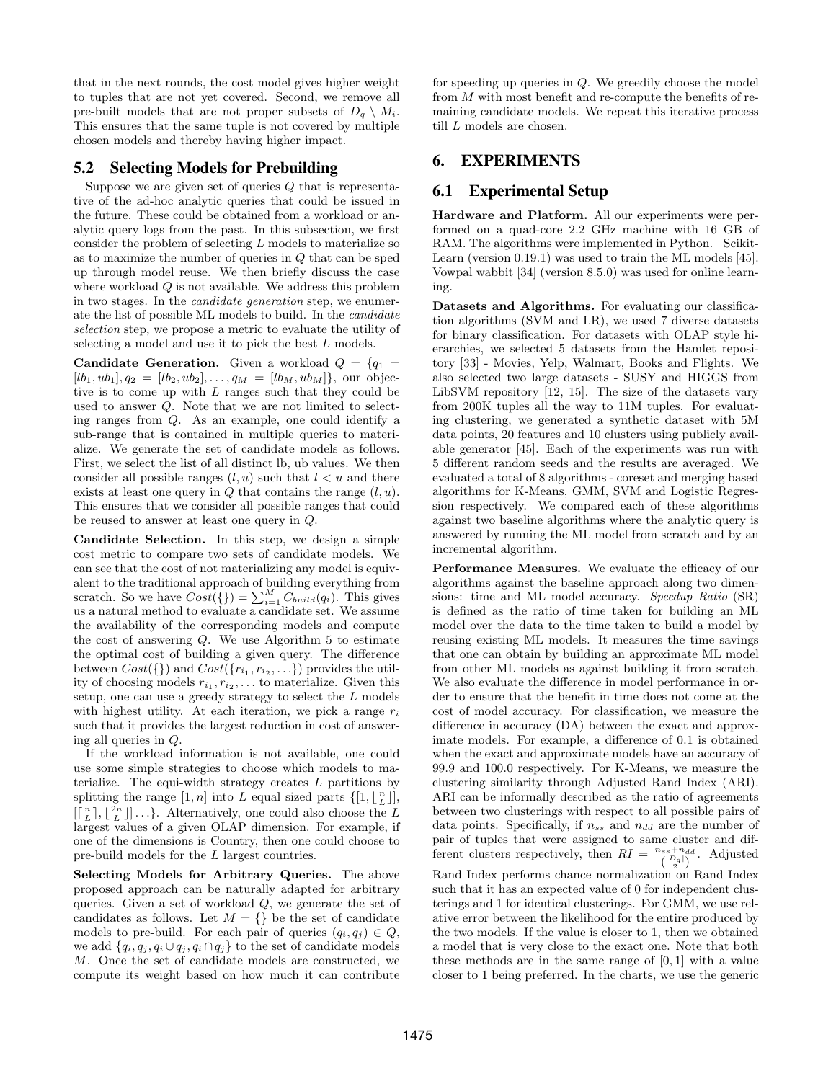that in the next rounds, the cost model gives higher weight to tuples that are not yet covered. Second, we remove all pre-built models that are not proper subsets of  $D_q \setminus M_i$ . This ensures that the same tuple is not covered by multiple chosen models and thereby having higher impact.

# 5.2 Selecting Models for Prebuilding

Suppose we are given set of queries  $Q$  that is representative of the ad-hoc analytic queries that could be issued in the future. These could be obtained from a workload or analytic query logs from the past. In this subsection, we first consider the problem of selecting L models to materialize so as to maximize the number of queries in Q that can be sped up through model reuse. We then briefly discuss the case where workload  $Q$  is not available. We address this problem in two stages. In the candidate generation step, we enumerate the list of possible ML models to build. In the candidate selection step, we propose a metric to evaluate the utility of selecting a model and use it to pick the best  $L$  models.

**Candidate Generation.** Given a workload  $Q = \{q_1 =$  $[lb_1, ub_1], q_2 = [lb_2, ub_2], \ldots, q_M = [lb_M, ub_M]$ , our objective is to come up with L ranges such that they could be used to answer Q. Note that we are not limited to selecting ranges from Q. As an example, one could identify a sub-range that is contained in multiple queries to materialize. We generate the set of candidate models as follows. First, we select the list of all distinct lb, ub values. We then consider all possible ranges  $(l, u)$  such that  $l < u$  and there exists at least one query in  $Q$  that contains the range  $(l, u)$ . This ensures that we consider all possible ranges that could be reused to answer at least one query in Q.

Candidate Selection. In this step, we design a simple cost metric to compare two sets of candidate models. We can see that the cost of not materializing any model is equivalent to the traditional approach of building everything from scratch. So we have  $Cost(\{\}) = \sum_{i=1}^{M} C_{build}(q_i)$ . This gives us a natural method to evaluate a candidate set. We assume the availability of the corresponding models and compute the cost of answering  $Q$ . We use Algorithm 5 to estimate the optimal cost of building a given query. The difference between  $Cost(\{\})$  and  $Cost(\{r_{i_1}, r_{i_2}, \ldots\})$  provides the utility of choosing models  $r_{i_1}, r_{i_2}, \ldots$  to materialize. Given this setup, one can use a greedy strategy to select the L models with highest utility. At each iteration, we pick a range  $r_i$ such that it provides the largest reduction in cost of answering all queries in Q.

If the workload information is not available, one could use some simple strategies to choose which models to materialize. The equi-width strategy creates  $L$  partitions by splitting the range  $[1, n]$  into L equal sized parts  $\{[1, \lfloor \frac{n}{L} \rfloor],\}$  $\left[\left[\frac{n}{L}\right], \left\lfloor\frac{2n}{L}\right\rfloor\right] \ldots\}$ . Alternatively, one could also choose the L largest values of a given OLAP dimension. For example, if one of the dimensions is Country, then one could choose to pre-build models for the L largest countries.

Selecting Models for Arbitrary Queries. The above proposed approach can be naturally adapted for arbitrary queries. Given a set of workload  $Q$ , we generate the set of candidates as follows. Let  $M = \{\}$  be the set of candidate models to pre-build. For each pair of queries  $(q_i, q_j) \in Q$ , we add  $\{q_i, q_j, q_i \cup q_j, q_i \cap q_j\}$  to the set of candidate models M. Once the set of candidate models are constructed, we compute its weight based on how much it can contribute for speeding up queries in Q. We greedily choose the model from M with most benefit and re-compute the benefits of remaining candidate models. We repeat this iterative process till  $L$  models are chosen.

# 6. EXPERIMENTS

# 6.1 Experimental Setup

Hardware and Platform. All our experiments were performed on a quad-core 2.2 GHz machine with 16 GB of RAM. The algorithms were implemented in Python. Scikit-Learn (version 0.19.1) was used to train the ML models [45]. Vowpal wabbit [34] (version 8.5.0) was used for online learning.

Datasets and Algorithms. For evaluating our classification algorithms (SVM and LR), we used 7 diverse datasets for binary classification. For datasets with OLAP style hierarchies, we selected 5 datasets from the Hamlet repository [33] - Movies, Yelp, Walmart, Books and Flights. We also selected two large datasets - SUSY and HIGGS from LibSVM repository [12, 15]. The size of the datasets vary from 200K tuples all the way to 11M tuples. For evaluating clustering, we generated a synthetic dataset with 5M data points, 20 features and 10 clusters using publicly available generator [45]. Each of the experiments was run with 5 different random seeds and the results are averaged. We evaluated a total of 8 algorithms - coreset and merging based algorithms for K-Means, GMM, SVM and Logistic Regression respectively. We compared each of these algorithms against two baseline algorithms where the analytic query is answered by running the ML model from scratch and by an incremental algorithm.

Performance Measures. We evaluate the efficacy of our algorithms against the baseline approach along two dimensions: time and ML model accuracy. Speedup Ratio (SR) is defined as the ratio of time taken for building an ML model over the data to the time taken to build a model by reusing existing ML models. It measures the time savings that one can obtain by building an approximate ML model from other ML models as against building it from scratch. We also evaluate the difference in model performance in order to ensure that the benefit in time does not come at the cost of model accuracy. For classification, we measure the difference in accuracy (DA) between the exact and approximate models. For example, a difference of 0.1 is obtained when the exact and approximate models have an accuracy of 99.9 and 100.0 respectively. For K-Means, we measure the clustering similarity through Adjusted Rand Index (ARI). ARI can be informally described as the ratio of agreements between two clusterings with respect to all possible pairs of data points. Specifically, if  $n_{ss}$  and  $n_{dd}$  are the number of pair of tuples that were assigned to same cluster and different clusters respectively, then  $RI = \frac{n_{ss} + n_{dd}}{\binom{|D_q|}{2}}$ . Adjusted Rand Index performs chance normalization on Rand Index such that it has an expected value of 0 for independent clusterings and 1 for identical clusterings. For GMM, we use rel-

ative error between the likelihood for the entire produced by the two models. If the value is closer to 1, then we obtained a model that is very close to the exact one. Note that both these methods are in the same range of [0, 1] with a value closer to 1 being preferred. In the charts, we use the generic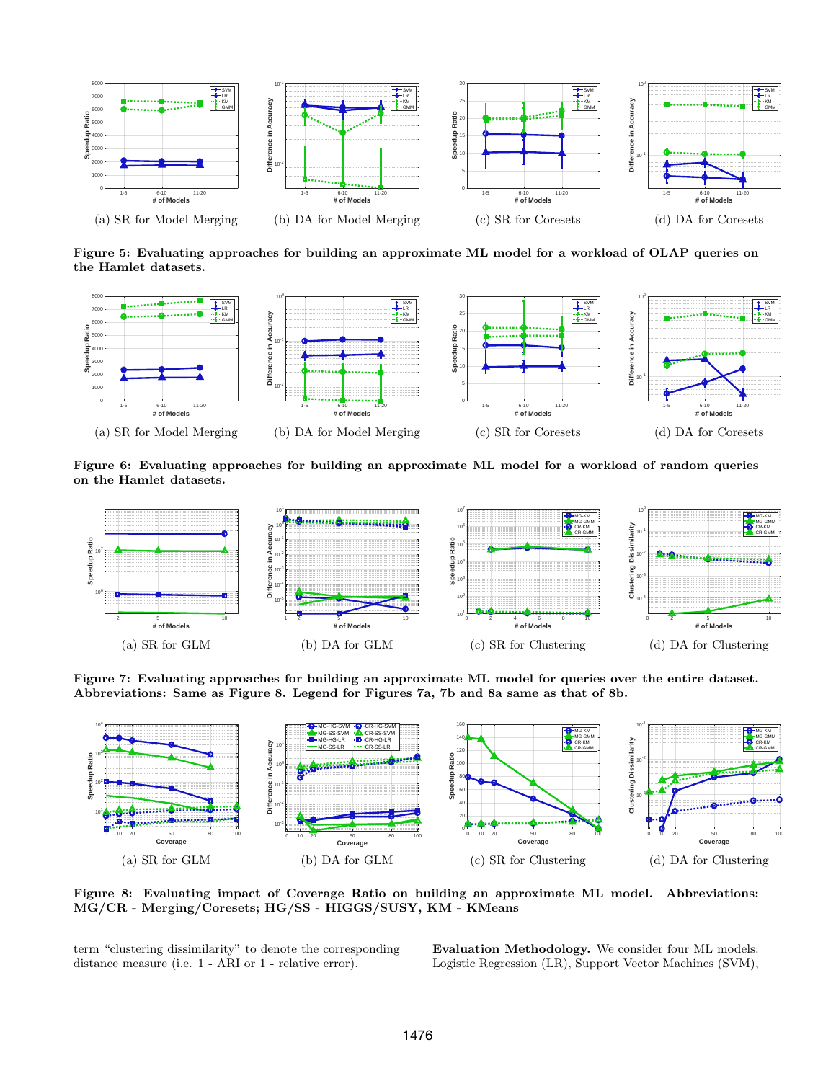

Figure 5: Evaluating approaches for building an approximate ML model for a workload of OLAP queries on the Hamlet datasets.



Figure 6: Evaluating approaches for building an approximate ML model for a workload of random queries on the Hamlet datasets.



Figure 7: Evaluating approaches for building an approximate ML model for queries over the entire dataset. Abbreviations: Same as Figure 8. Legend for Figures 7a, 7b and 8a same as that of 8b.



Figure 8: Evaluating impact of Coverage Ratio on building an approximate ML model. Abbreviations: MG/CR - Merging/Coresets; HG/SS - HIGGS/SUSY, KM - KMeans

term "clustering dissimilarity" to denote the corresponding distance measure (i.e. 1 - ARI or 1 - relative error).

Evaluation Methodology. We consider four ML models: Logistic Regression (LR), Support Vector Machines (SVM),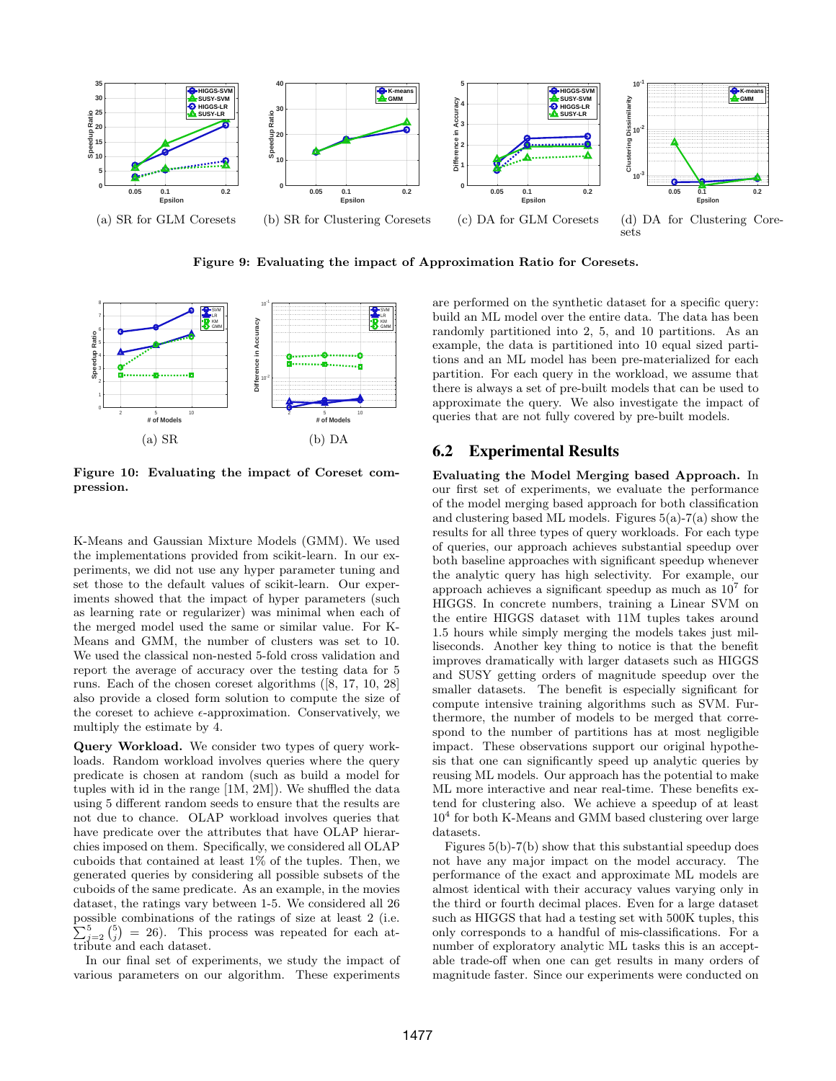

Figure 9: Evaluating the impact of Approximation Ratio for Coresets.



Figure 10: Evaluating the impact of Coreset compression.

K-Means and Gaussian Mixture Models (GMM). We used the implementations provided from scikit-learn. In our experiments, we did not use any hyper parameter tuning and set those to the default values of scikit-learn. Our experiments showed that the impact of hyper parameters (such as learning rate or regularizer) was minimal when each of the merged model used the same or similar value. For K-Means and GMM, the number of clusters was set to 10. We used the classical non-nested 5-fold cross validation and report the average of accuracy over the testing data for 5 runs. Each of the chosen coreset algorithms ([8, 17, 10, 28] also provide a closed form solution to compute the size of the coreset to achieve  $\epsilon$ -approximation. Conservatively, we multiply the estimate by 4.

Query Workload. We consider two types of query workloads. Random workload involves queries where the query predicate is chosen at random (such as build a model for tuples with id in the range [1M, 2M]). We shuffled the data using 5 different random seeds to ensure that the results are not due to chance. OLAP workload involves queries that have predicate over the attributes that have OLAP hierarchies imposed on them. Specifically, we considered all OLAP cuboids that contained at least 1% of the tuples. Then, we generated queries by considering all possible subsets of the cuboids of the same predicate. As an example, in the movies dataset, the ratings vary between 1-5. We considered all 26 possible combinations of the ratings of size at least 2 (i.e.  $\sum_{j=2}^{5} {\binom{5}{j}} = 26$ . This process was repeated for each attribute and each dataset.

In our final set of experiments, we study the impact of various parameters on our algorithm. These experiments

are performed on the synthetic dataset for a specific query: build an ML model over the entire data. The data has been randomly partitioned into 2, 5, and 10 partitions. As an example, the data is partitioned into 10 equal sized partitions and an ML model has been pre-materialized for each partition. For each query in the workload, we assume that there is always a set of pre-built models that can be used to approximate the query. We also investigate the impact of queries that are not fully covered by pre-built models.

### 6.2 Experimental Results

Evaluating the Model Merging based Approach. In our first set of experiments, we evaluate the performance of the model merging based approach for both classification and clustering based ML models. Figures  $5(a)$ -7(a) show the results for all three types of query workloads. For each type of queries, our approach achieves substantial speedup over both baseline approaches with significant speedup whenever the analytic query has high selectivity. For example, our approach achieves a significant speedup as much as  $10^7$  for HIGGS. In concrete numbers, training a Linear SVM on the entire HIGGS dataset with 11M tuples takes around 1.5 hours while simply merging the models takes just milliseconds. Another key thing to notice is that the benefit improves dramatically with larger datasets such as HIGGS and SUSY getting orders of magnitude speedup over the smaller datasets. The benefit is especially significant for compute intensive training algorithms such as SVM. Furthermore, the number of models to be merged that correspond to the number of partitions has at most negligible impact. These observations support our original hypothesis that one can significantly speed up analytic queries by reusing ML models. Our approach has the potential to make ML more interactive and near real-time. These benefits extend for clustering also. We achieve a speedup of at least 10<sup>4</sup> for both K-Means and GMM based clustering over large datasets.

Figures 5(b)-7(b) show that this substantial speedup does not have any major impact on the model accuracy. The performance of the exact and approximate ML models are almost identical with their accuracy values varying only in the third or fourth decimal places. Even for a large dataset such as HIGGS that had a testing set with 500K tuples, this only corresponds to a handful of mis-classifications. For a number of exploratory analytic ML tasks this is an acceptable trade-off when one can get results in many orders of magnitude faster. Since our experiments were conducted on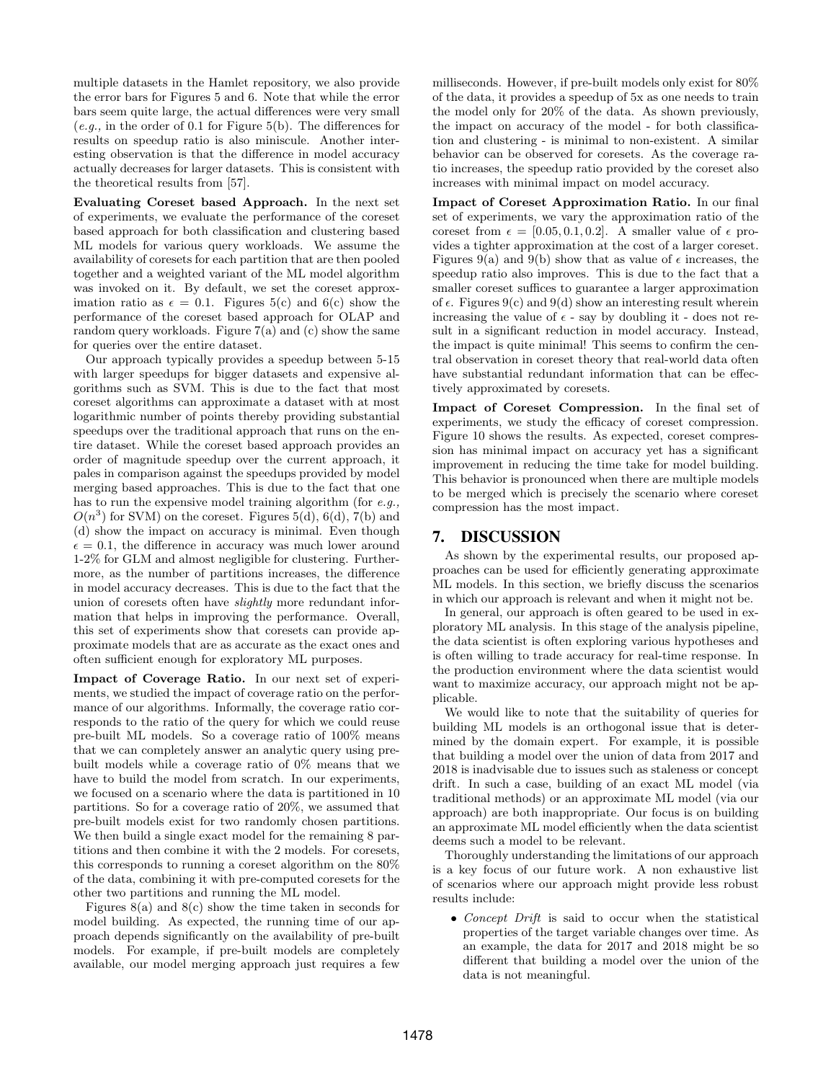multiple datasets in the Hamlet repository, we also provide the error bars for Figures 5 and 6. Note that while the error bars seem quite large, the actual differences were very small  $(e.g., in the order of 0.1 for Figure 5(b). The differences for$ results on speedup ratio is also miniscule. Another interesting observation is that the difference in model accuracy actually decreases for larger datasets. This is consistent with the theoretical results from [57].

Evaluating Coreset based Approach. In the next set of experiments, we evaluate the performance of the coreset based approach for both classification and clustering based ML models for various query workloads. We assume the availability of coresets for each partition that are then pooled together and a weighted variant of the ML model algorithm was invoked on it. By default, we set the coreset approximation ratio as  $\epsilon = 0.1$ . Figures 5(c) and 6(c) show the performance of the coreset based approach for OLAP and random query workloads. Figure  $7(a)$  and  $(c)$  show the same for queries over the entire dataset.

Our approach typically provides a speedup between 5-15 with larger speedups for bigger datasets and expensive algorithms such as SVM. This is due to the fact that most coreset algorithms can approximate a dataset with at most logarithmic number of points thereby providing substantial speedups over the traditional approach that runs on the entire dataset. While the coreset based approach provides an order of magnitude speedup over the current approach, it pales in comparison against the speedups provided by model merging based approaches. This is due to the fact that one has to run the expensive model training algorithm (for e.g.,  $O(n^3)$  for SVM) on the coreset. Figures 5(d), 6(d), 7(b) and (d) show the impact on accuracy is minimal. Even though  $\epsilon = 0.1$ , the difference in accuracy was much lower around 1-2% for GLM and almost negligible for clustering. Furthermore, as the number of partitions increases, the difference in model accuracy decreases. This is due to the fact that the union of coresets often have slightly more redundant information that helps in improving the performance. Overall, this set of experiments show that coresets can provide approximate models that are as accurate as the exact ones and often sufficient enough for exploratory ML purposes.

Impact of Coverage Ratio. In our next set of experiments, we studied the impact of coverage ratio on the performance of our algorithms. Informally, the coverage ratio corresponds to the ratio of the query for which we could reuse pre-built ML models. So a coverage ratio of 100% means that we can completely answer an analytic query using prebuilt models while a coverage ratio of 0% means that we have to build the model from scratch. In our experiments, we focused on a scenario where the data is partitioned in 10 partitions. So for a coverage ratio of 20%, we assumed that pre-built models exist for two randomly chosen partitions. We then build a single exact model for the remaining 8 partitions and then combine it with the 2 models. For coresets, this corresponds to running a coreset algorithm on the 80% of the data, combining it with pre-computed coresets for the other two partitions and running the ML model.

Figures  $8(a)$  and  $8(c)$  show the time taken in seconds for model building. As expected, the running time of our approach depends significantly on the availability of pre-built models. For example, if pre-built models are completely available, our model merging approach just requires a few milliseconds. However, if pre-built models only exist for 80% of the data, it provides a speedup of 5x as one needs to train the model only for 20% of the data. As shown previously, the impact on accuracy of the model - for both classification and clustering - is minimal to non-existent. A similar behavior can be observed for coresets. As the coverage ratio increases, the speedup ratio provided by the coreset also increases with minimal impact on model accuracy.

Impact of Coreset Approximation Ratio. In our final set of experiments, we vary the approximation ratio of the coreset from  $\epsilon = [0.05, 0.1, 0.2]$ . A smaller value of  $\epsilon$  provides a tighter approximation at the cost of a larger coreset. Figures 9(a) and 9(b) show that as value of  $\epsilon$  increases, the speedup ratio also improves. This is due to the fact that a smaller coreset suffices to guarantee a larger approximation of  $\epsilon$ . Figures 9(c) and 9(d) show an interesting result wherein increasing the value of  $\epsilon$  - say by doubling it - does not result in a significant reduction in model accuracy. Instead, the impact is quite minimal! This seems to confirm the central observation in coreset theory that real-world data often have substantial redundant information that can be effectively approximated by coresets.

Impact of Coreset Compression. In the final set of experiments, we study the efficacy of coreset compression. Figure 10 shows the results. As expected, coreset compression has minimal impact on accuracy yet has a significant improvement in reducing the time take for model building. This behavior is pronounced when there are multiple models to be merged which is precisely the scenario where coreset compression has the most impact.

#### 7. DISCUSSION

As shown by the experimental results, our proposed approaches can be used for efficiently generating approximate ML models. In this section, we briefly discuss the scenarios in which our approach is relevant and when it might not be.

In general, our approach is often geared to be used in exploratory ML analysis. In this stage of the analysis pipeline, the data scientist is often exploring various hypotheses and is often willing to trade accuracy for real-time response. In the production environment where the data scientist would want to maximize accuracy, our approach might not be applicable.

We would like to note that the suitability of queries for building ML models is an orthogonal issue that is determined by the domain expert. For example, it is possible that building a model over the union of data from 2017 and 2018 is inadvisable due to issues such as staleness or concept drift. In such a case, building of an exact ML model (via traditional methods) or an approximate ML model (via our approach) are both inappropriate. Our focus is on building an approximate ML model efficiently when the data scientist deems such a model to be relevant.

Thoroughly understanding the limitations of our approach is a key focus of our future work. A non exhaustive list of scenarios where our approach might provide less robust results include:

• Concept Drift is said to occur when the statistical properties of the target variable changes over time. As an example, the data for 2017 and 2018 might be so different that building a model over the union of the data is not meaningful.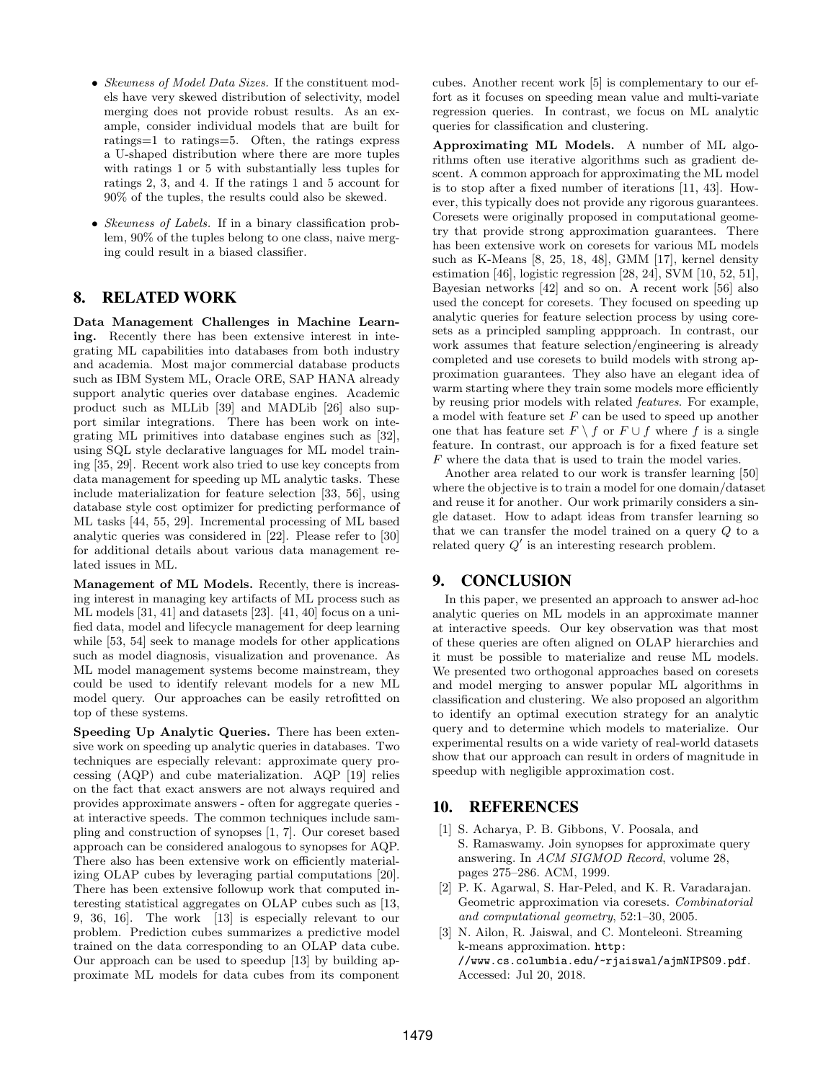- Skewness of Model Data Sizes. If the constituent models have very skewed distribution of selectivity, model merging does not provide robust results. As an example, consider individual models that are built for ratings=1 to ratings=5. Often, the ratings express a U-shaped distribution where there are more tuples with ratings 1 or 5 with substantially less tuples for ratings 2, 3, and 4. If the ratings 1 and 5 account for 90% of the tuples, the results could also be skewed.
- *Skewness of Labels*. If in a binary classification problem, 90% of the tuples belong to one class, naive merging could result in a biased classifier.

# 8. RELATED WORK

Data Management Challenges in Machine Learning. Recently there has been extensive interest in integrating ML capabilities into databases from both industry and academia. Most major commercial database products such as IBM System ML, Oracle ORE, SAP HANA already support analytic queries over database engines. Academic product such as MLLib [39] and MADLib [26] also support similar integrations. There has been work on integrating ML primitives into database engines such as [32], using SQL style declarative languages for ML model training [35, 29]. Recent work also tried to use key concepts from data management for speeding up ML analytic tasks. These include materialization for feature selection [33, 56], using database style cost optimizer for predicting performance of ML tasks [44, 55, 29]. Incremental processing of ML based analytic queries was considered in [22]. Please refer to [30] for additional details about various data management related issues in ML.

Management of ML Models. Recently, there is increasing interest in managing key artifacts of ML process such as ML models [31, 41] and datasets [23]. [41, 40] focus on a unified data, model and lifecycle management for deep learning while [53, 54] seek to manage models for other applications such as model diagnosis, visualization and provenance. As ML model management systems become mainstream, they could be used to identify relevant models for a new ML model query. Our approaches can be easily retrofitted on top of these systems.

Speeding Up Analytic Queries. There has been extensive work on speeding up analytic queries in databases. Two techniques are especially relevant: approximate query processing (AQP) and cube materialization. AQP [19] relies on the fact that exact answers are not always required and provides approximate answers - often for aggregate queries at interactive speeds. The common techniques include sampling and construction of synopses [1, 7]. Our coreset based approach can be considered analogous to synopses for AQP. There also has been extensive work on efficiently materializing OLAP cubes by leveraging partial computations [20]. There has been extensive followup work that computed interesting statistical aggregates on OLAP cubes such as [13, 9, 36, 16]. The work [13] is especially relevant to our problem. Prediction cubes summarizes a predictive model trained on the data corresponding to an OLAP data cube. Our approach can be used to speedup [13] by building approximate ML models for data cubes from its component cubes. Another recent work [5] is complementary to our effort as it focuses on speeding mean value and multi-variate regression queries. In contrast, we focus on ML analytic queries for classification and clustering.

Approximating ML Models. A number of ML algorithms often use iterative algorithms such as gradient descent. A common approach for approximating the ML model is to stop after a fixed number of iterations [11, 43]. However, this typically does not provide any rigorous guarantees. Coresets were originally proposed in computational geometry that provide strong approximation guarantees. There has been extensive work on coresets for various ML models such as K-Means [8, 25, 18, 48], GMM [17], kernel density estimation [46], logistic regression [28, 24], SVM [10, 52, 51], Bayesian networks [42] and so on. A recent work [56] also used the concept for coresets. They focused on speeding up analytic queries for feature selection process by using coresets as a principled sampling appproach. In contrast, our work assumes that feature selection/engineering is already completed and use coresets to build models with strong approximation guarantees. They also have an elegant idea of warm starting where they train some models more efficiently by reusing prior models with related features. For example, a model with feature set  $F$  can be used to speed up another one that has feature set  $F \setminus f$  or  $F \cup f$  where f is a single feature. In contrast, our approach is for a fixed feature set F where the data that is used to train the model varies.

Another area related to our work is transfer learning [50] where the objective is to train a model for one domain/dataset and reuse it for another. Our work primarily considers a single dataset. How to adapt ideas from transfer learning so that we can transfer the model trained on a query Q to a related query  $Q'$  is an interesting research problem.

# 9. CONCLUSION

In this paper, we presented an approach to answer ad-hoc analytic queries on ML models in an approximate manner at interactive speeds. Our key observation was that most of these queries are often aligned on OLAP hierarchies and it must be possible to materialize and reuse ML models. We presented two orthogonal approaches based on coresets and model merging to answer popular ML algorithms in classification and clustering. We also proposed an algorithm to identify an optimal execution strategy for an analytic query and to determine which models to materialize. Our experimental results on a wide variety of real-world datasets show that our approach can result in orders of magnitude in speedup with negligible approximation cost.

# 10. REFERENCES

- [1] S. Acharya, P. B. Gibbons, V. Poosala, and S. Ramaswamy. Join synopses for approximate query answering. In ACM SIGMOD Record, volume 28, pages 275–286. ACM, 1999.
- [2] P. K. Agarwal, S. Har-Peled, and K. R. Varadarajan. Geometric approximation via coresets. Combinatorial and computational geometry, 52:1–30, 2005.
- [3] N. Ailon, R. Jaiswal, and C. Monteleoni. Streaming k-means approximation. http: //www.cs.columbia.edu/~rjaiswal/ajmNIPS09.pdf. Accessed: Jul 20, 2018.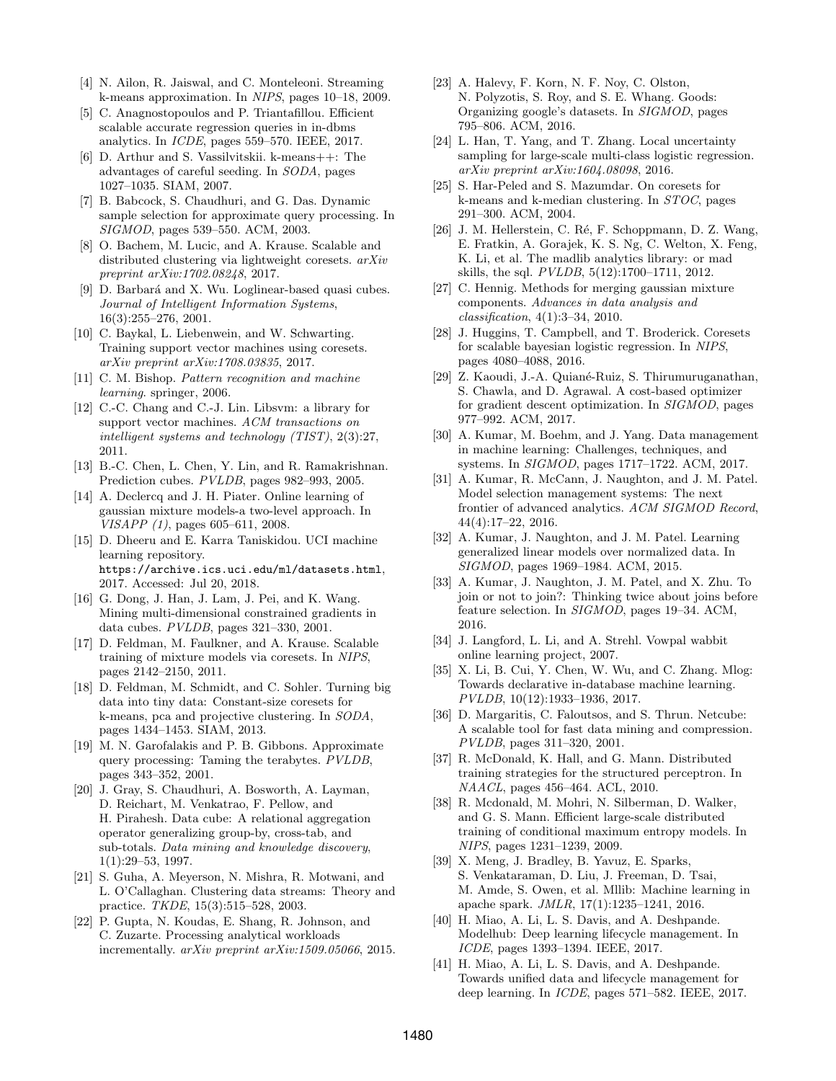- [4] N. Ailon, R. Jaiswal, and C. Monteleoni. Streaming k-means approximation. In NIPS, pages 10–18, 2009.
- [5] C. Anagnostopoulos and P. Triantafillou. Efficient scalable accurate regression queries in in-dbms analytics. In ICDE, pages 559–570. IEEE, 2017.
- [6] D. Arthur and S. Vassilvitskii. k-means++: The advantages of careful seeding. In SODA, pages 1027–1035. SIAM, 2007.
- [7] B. Babcock, S. Chaudhuri, and G. Das. Dynamic sample selection for approximate query processing. In SIGMOD, pages 539–550. ACM, 2003.
- [8] O. Bachem, M. Lucic, and A. Krause. Scalable and distributed clustering via lightweight coresets. arXiv preprint arXiv:1702.08248, 2017.
- [9] D. Barbará and X. Wu. Loglinear-based quasi cubes. Journal of Intelligent Information Systems, 16(3):255–276, 2001.
- [10] C. Baykal, L. Liebenwein, and W. Schwarting. Training support vector machines using coresets. arXiv preprint arXiv:1708.03835, 2017.
- [11] C. M. Bishop. Pattern recognition and machine learning. springer, 2006.
- [12] C.-C. Chang and C.-J. Lin. Libsvm: a library for support vector machines. ACM transactions on intelligent systems and technology (TIST), 2(3):27, 2011.
- [13] B.-C. Chen, L. Chen, Y. Lin, and R. Ramakrishnan. Prediction cubes. PVLDB, pages 982–993, 2005.
- [14] A. Declercq and J. H. Piater. Online learning of gaussian mixture models-a two-level approach. In VISAPP (1), pages 605–611, 2008.
- [15] D. Dheeru and E. Karra Taniskidou. UCI machine learning repository. https://archive.ics.uci.edu/ml/datasets.html, 2017. Accessed: Jul 20, 2018.
- [16] G. Dong, J. Han, J. Lam, J. Pei, and K. Wang. Mining multi-dimensional constrained gradients in data cubes. PVLDB, pages 321–330, 2001.
- [17] D. Feldman, M. Faulkner, and A. Krause. Scalable training of mixture models via coresets. In NIPS, pages 2142–2150, 2011.
- [18] D. Feldman, M. Schmidt, and C. Sohler. Turning big data into tiny data: Constant-size coresets for k-means, pca and projective clustering. In SODA, pages 1434–1453. SIAM, 2013.
- [19] M. N. Garofalakis and P. B. Gibbons. Approximate query processing: Taming the terabytes. PVLDB, pages 343–352, 2001.
- [20] J. Gray, S. Chaudhuri, A. Bosworth, A. Layman, D. Reichart, M. Venkatrao, F. Pellow, and H. Pirahesh. Data cube: A relational aggregation operator generalizing group-by, cross-tab, and sub-totals. Data mining and knowledge discovery, 1(1):29–53, 1997.
- [21] S. Guha, A. Meyerson, N. Mishra, R. Motwani, and L. O'Callaghan. Clustering data streams: Theory and practice. TKDE, 15(3):515–528, 2003.
- [22] P. Gupta, N. Koudas, E. Shang, R. Johnson, and C. Zuzarte. Processing analytical workloads incrementally. arXiv preprint arXiv:1509.05066, 2015.
- [23] A. Halevy, F. Korn, N. F. Noy, C. Olston, N. Polyzotis, S. Roy, and S. E. Whang. Goods: Organizing google's datasets. In SIGMOD, pages 795–806. ACM, 2016.
- [24] L. Han, T. Yang, and T. Zhang. Local uncertainty sampling for large-scale multi-class logistic regression. arXiv preprint arXiv:1604.08098, 2016.
- [25] S. Har-Peled and S. Mazumdar. On coresets for k-means and k-median clustering. In STOC, pages 291–300. ACM, 2004.
- [26] J. M. Hellerstein, C. Ré, F. Schoppmann, D. Z. Wang, E. Fratkin, A. Gorajek, K. S. Ng, C. Welton, X. Feng, K. Li, et al. The madlib analytics library: or mad skills, the sql. PVLDB, 5(12):1700–1711, 2012.
- [27] C. Hennig. Methods for merging gaussian mixture components. Advances in data analysis and classification, 4(1):3–34, 2010.
- [28] J. Huggins, T. Campbell, and T. Broderick. Coresets for scalable bayesian logistic regression. In NIPS, pages 4080–4088, 2016.
- [29] Z. Kaoudi, J.-A. Quiané-Ruiz, S. Thirumuruganathan, S. Chawla, and D. Agrawal. A cost-based optimizer for gradient descent optimization. In SIGMOD, pages 977–992. ACM, 2017.
- [30] A. Kumar, M. Boehm, and J. Yang. Data management in machine learning: Challenges, techniques, and systems. In SIGMOD, pages 1717–1722. ACM, 2017.
- [31] A. Kumar, R. McCann, J. Naughton, and J. M. Patel. Model selection management systems: The next frontier of advanced analytics. ACM SIGMOD Record, 44(4):17–22, 2016.
- [32] A. Kumar, J. Naughton, and J. M. Patel. Learning generalized linear models over normalized data. In SIGMOD, pages 1969–1984. ACM, 2015.
- [33] A. Kumar, J. Naughton, J. M. Patel, and X. Zhu. To join or not to join?: Thinking twice about joins before feature selection. In SIGMOD, pages 19–34. ACM, 2016.
- [34] J. Langford, L. Li, and A. Strehl. Vowpal wabbit online learning project, 2007.
- [35] X. Li, B. Cui, Y. Chen, W. Wu, and C. Zhang. Mlog: Towards declarative in-database machine learning. PVLDB, 10(12):1933–1936, 2017.
- [36] D. Margaritis, C. Faloutsos, and S. Thrun. Netcube: A scalable tool for fast data mining and compression. PVLDB, pages 311–320, 2001.
- [37] R. McDonald, K. Hall, and G. Mann. Distributed training strategies for the structured perceptron. In NAACL, pages 456–464. ACL, 2010.
- [38] R. Mcdonald, M. Mohri, N. Silberman, D. Walker, and G. S. Mann. Efficient large-scale distributed training of conditional maximum entropy models. In NIPS, pages 1231–1239, 2009.
- [39] X. Meng, J. Bradley, B. Yavuz, E. Sparks, S. Venkataraman, D. Liu, J. Freeman, D. Tsai, M. Amde, S. Owen, et al. Mllib: Machine learning in apache spark. JMLR, 17(1):1235–1241, 2016.
- [40] H. Miao, A. Li, L. S. Davis, and A. Deshpande. Modelhub: Deep learning lifecycle management. In ICDE, pages 1393–1394. IEEE, 2017.
- [41] H. Miao, A. Li, L. S. Davis, and A. Deshpande. Towards unified data and lifecycle management for deep learning. In ICDE, pages 571–582. IEEE, 2017.